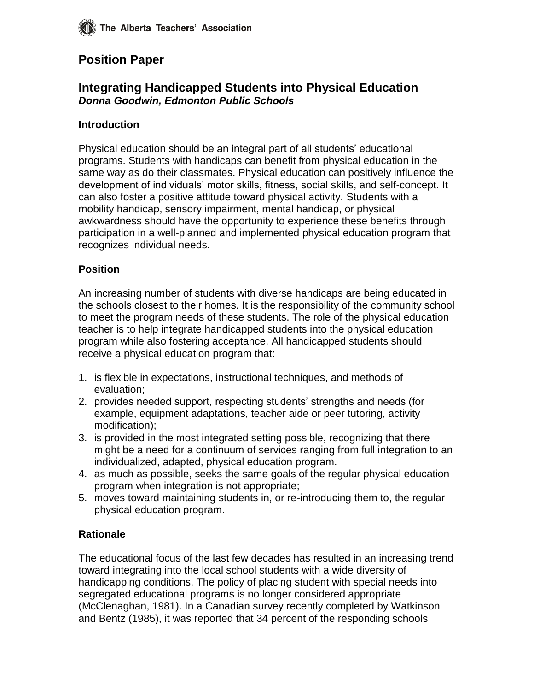# **Position Paper**

# **Integrating Handicapped Students into Physical Education** *Donna Goodwin, Edmonton Public Schools*

#### **Introduction**

Physical education should be an integral part of all students' educational programs. Students with handicaps can benefit from physical education in the same way as do their classmates. Physical education can positively influence the development of individuals' motor skills, fitness, social skills, and self-concept. It can also foster a positive attitude toward physical activity. Students with a mobility handicap, sensory impairment, mental handicap, or physical awkwardness should have the opportunity to experience these benefits through participation in a well-planned and implemented physical education program that recognizes individual needs.

#### **Position**

An increasing number of students with diverse handicaps are being educated in the schools closest to their homes. It is the responsibility of the community school to meet the program needs of these students. The role of the physical education teacher is to help integrate handicapped students into the physical education program while also fostering acceptance. All handicapped students should receive a physical education program that:

- 1. is flexible in expectations, instructional techniques, and methods of evaluation;
- 2. provides needed support, respecting students' strengths and needs (for example, equipment adaptations, teacher aide or peer tutoring, activity modification);
- 3. is provided in the most integrated setting possible, recognizing that there might be a need for a continuum of services ranging from full integration to an individualized, adapted, physical education program.
- 4. as much as possible, seeks the same goals of the regular physical education program when integration is not appropriate;
- 5. moves toward maintaining students in, or re-introducing them to, the regular physical education program.

### **Rationale**

The educational focus of the last few decades has resulted in an increasing trend toward integrating into the local school students with a wide diversity of handicapping conditions. The policy of placing student with special needs into segregated educational programs is no longer considered appropriate (McClenaghan, 1981). In a Canadian survey recently completed by Watkinson and Bentz (1985), it was reported that 34 percent of the responding schools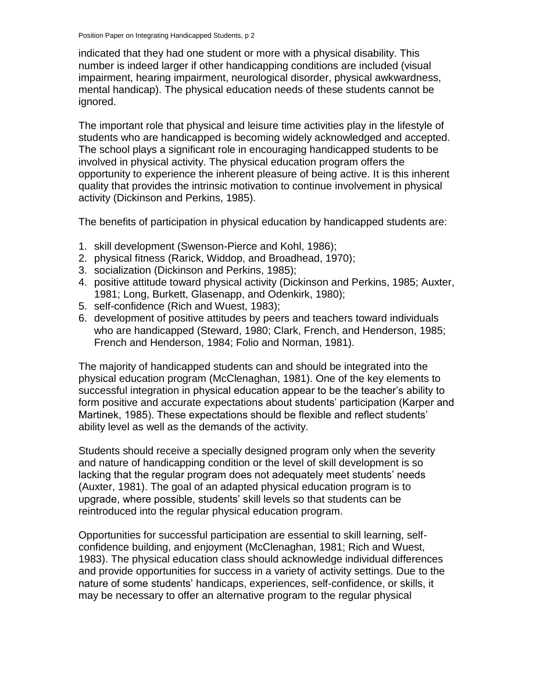indicated that they had one student or more with a physical disability. This number is indeed larger if other handicapping conditions are included (visual impairment, hearing impairment, neurological disorder, physical awkwardness, mental handicap). The physical education needs of these students cannot be ignored.

The important role that physical and leisure time activities play in the lifestyle of students who are handicapped is becoming widely acknowledged and accepted. The school plays a significant role in encouraging handicapped students to be involved in physical activity. The physical education program offers the opportunity to experience the inherent pleasure of being active. It is this inherent quality that provides the intrinsic motivation to continue involvement in physical activity (Dickinson and Perkins, 1985).

The benefits of participation in physical education by handicapped students are:

- 1. skill development (Swenson-Pierce and Kohl, 1986);
- 2. physical fitness (Rarick, Widdop, and Broadhead, 1970);
- 3. socialization (Dickinson and Perkins, 1985);
- 4. positive attitude toward physical activity (Dickinson and Perkins, 1985; Auxter, 1981; Long, Burkett, Glasenapp, and Odenkirk, 1980);
- 5. self-confidence (Rich and Wuest, 1983);
- 6. development of positive attitudes by peers and teachers toward individuals who are handicapped (Steward, 1980; Clark, French, and Henderson, 1985; French and Henderson, 1984; Folio and Norman, 1981).

The majority of handicapped students can and should be integrated into the physical education program (McClenaghan, 1981). One of the key elements to successful integration in physical education appear to be the teacher's ability to form positive and accurate expectations about students' participation (Karper and Martinek, 1985). These expectations should be flexible and reflect students' ability level as well as the demands of the activity.

Students should receive a specially designed program only when the severity and nature of handicapping condition or the level of skill development is so lacking that the regular program does not adequately meet students' needs (Auxter, 1981). The goal of an adapted physical education program is to upgrade, where possible, students' skill levels so that students can be reintroduced into the regular physical education program.

Opportunities for successful participation are essential to skill learning, selfconfidence building, and enjoyment (McClenaghan, 1981; Rich and Wuest, 1983). The physical education class should acknowledge individual differences and provide opportunities for success in a variety of activity settings. Due to the nature of some students' handicaps, experiences, self-confidence, or skills, it may be necessary to offer an alternative program to the regular physical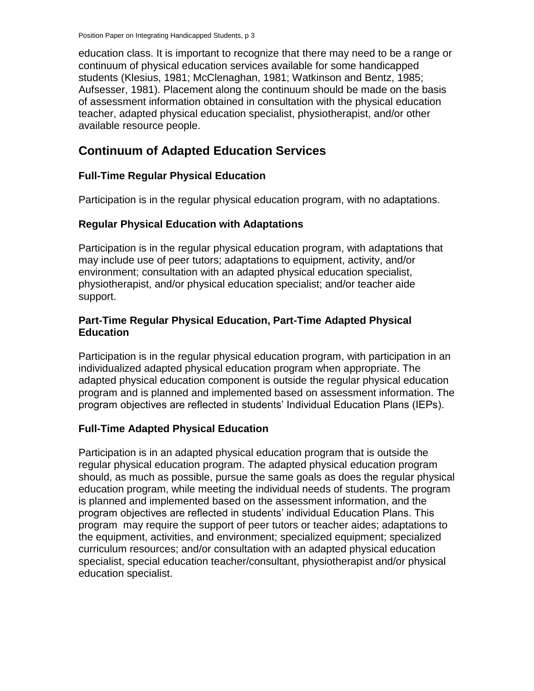education class. It is important to recognize that there may need to be a range or continuum of physical education services available for some handicapped students (Klesius, 1981; McClenaghan, 1981; Watkinson and Bentz, 1985; Aufsesser, 1981). Placement along the continuum should be made on the basis of assessment information obtained in consultation with the physical education teacher, adapted physical education specialist, physiotherapist, and/or other available resource people.

# **Continuum of Adapted Education Services**

## **Full-Time Regular Physical Education**

Participation is in the regular physical education program, with no adaptations.

## **Regular Physical Education with Adaptations**

Participation is in the regular physical education program, with adaptations that may include use of peer tutors; adaptations to equipment, activity, and/or environment; consultation with an adapted physical education specialist, physiotherapist, and/or physical education specialist; and/or teacher aide support.

### **Part-Time Regular Physical Education, Part-Time Adapted Physical Education**

Participation is in the regular physical education program, with participation in an individualized adapted physical education program when appropriate. The adapted physical education component is outside the regular physical education program and is planned and implemented based on assessment information. The program objectives are reflected in students' Individual Education Plans (IEPs).

# **Full-Time Adapted Physical Education**

Participation is in an adapted physical education program that is outside the regular physical education program. The adapted physical education program should, as much as possible, pursue the same goals as does the regular physical education program, while meeting the individual needs of students. The program is planned and implemented based on the assessment information, and the program objectives are reflected in students' individual Education Plans. This program may require the support of peer tutors or teacher aides; adaptations to the equipment, activities, and environment; specialized equipment; specialized curriculum resources; and/or consultation with an adapted physical education specialist, special education teacher/consultant, physiotherapist and/or physical education specialist.